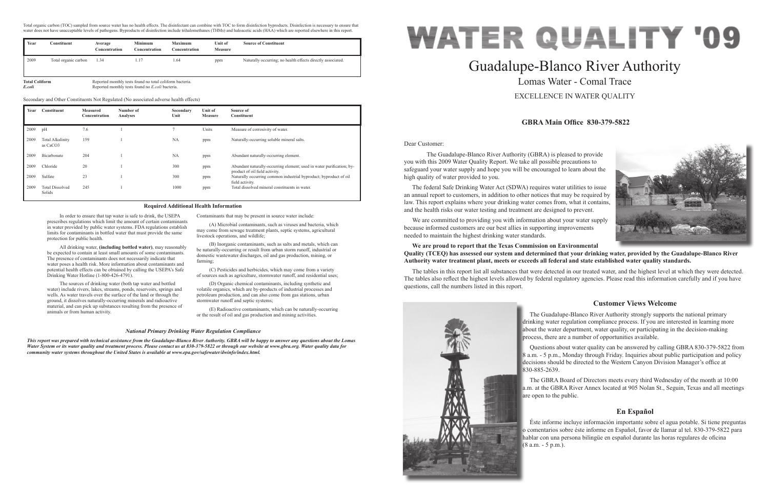Dear Customer:

 The Guadalupe-Blanco River Authority (GBRA) is pleased to provide you with this 2009 Water Quality Report. We take all possible precautions to safeguard your water supply and hope you will be encouraged to learn about the high quality of water provided to you.

The federal Safe Drinking Water Act (SDWA) requires water utilities to issue an annual report to customers, in addition to other notices that may be required by law. This report explains where your drinking water comes from, what it contains, and the health risks our water testing and treatment are designed to prevent.

We are committed to providing you with information about your water supply because informed customers are our best allies in supporting improvements needed to maintain the highest drinking water standards.

### **We are proud to report that the Texas Commission on Environmental Quality (TCEQ) has assessed our system and determined that your drinking water, provided by the Guadalupe-Blanco River Authority water treatment plant, meets or exceeds all federal and state established water quality standards.**

The tables in this report list all substances that were detected in our treated water, and the highest level at which they were detected. The tables also reflect the highest levels allowed by federal regulatory agencies. Please read this information carefully and if you have questions, call the numbers listed in this report.



# Guadalupe-Blanco River Authority Lomas Water - Comal Trace EXCELLENCE IN WATER QUALITY

## **GBRA Main Office 830-379-5822**

## **Customer Views Welcome**

The Guadalupe-Blanco River Authority strongly supports the national primary drinking water regulation compliance process. If you are interested in learning more about the water department, water quality, or participating in the decision-making process, there are a number of opportunities available.

Questions about water quality can be answered by calling GBRA 830-379-5822 from 8 a.m. - 5 p.m., Monday through Friday. Inquiries about public participation and policy decisions should be directed to the Western Canyon Division Manager's office at 830-885-2639.

The GBRA Board of Directors meets every third Wednesday of the month at 10:00 a.m. at the GBRA River Annex located at 905 Nolan St., Seguin, Texas and all meetings are open to the public.

### **En Español**

Éste informe incluye información importante sobre el agua potable. Si tiene preguntas o comentarios sobre éste informe en Español, favor de llamar al tel. 830-379-5822 para hablar con una persona bilingüe en español durante las horas regulares de oficina (8 a.m. - 5 p.m.).





In order to ensure that tap water is safe to drink, the USEPA prescribes regulations which limit the amount of certain contaminants in water provided by public water systems. FDA regulations establish limits for contaminants in bottled water that must provide the same protection for public health.

All drinking water, **(including bottled water)**, may reasonably be expected to contain at least small amounts of some contaminants. The presence of contaminants does not necessarily indicate that water poses a health risk. More information about contaminants and potential health effects can be obtained by calling the USEPA's Safe Drinking Water Hotline (1-800-426-4791).

The sources of drinking water (both tap water and bottled water) include rivers, lakes, streams, ponds, reservoirs, springs and wells. As water travels over the surface of the land or through the ground, it dissolves naturally-occurring minerals and radioactive material, and can pick up substances resulting from the presence of animals or from human activity.

Contaminants that may be present in source water include:

(A) Microbial contaminants, such as viruses and bacteria, which may come from sewage treatment plants, septic systems, agricultural livestock operations, and wildlife;

(B) Inorganic contaminants, such as salts and metals, which can be naturally-occurring or result from urban storm runoff, industrial or domestic wastewater discharges, oil and gas production, mining, or farming;

(C) Pesticides and herbicides, which may come from a variety of sources such as agriculture, stormwater runoff, and residential uses;

(D) Organic chemical contaminants, including synthetic and volatile organics, which are by-products of industrial processes and petroleum production, and can also come from gas stations, urban stormwater runoff and septic systems;

(E) Radioactive contaminants, which can be naturally-occurring or the result of oil and gas production and mining activities.

#### **Required Additional Health Information**

#### *National Primary Drinking Water Regulation Compliance*

*This report was prepared with technical assistance from the Guadalupe-Blanco River Authority. GBRA will be happy to answer any questions about the Lomas Water System or its water quality and treatment process. Please contact us at 830-379-5822 or through our website at www.gbra.org. Water quality data for community water systems throughout the United States is available at www.epa.gov/safewater/dwinfo/index.html.*

Total organic carbon (TOC) sampled from source water has no health effects. The disinfectant can combine with TOC to form disinfection byproducts. Disinfection is necessary to ensure that water does not have unacceptable levels of pathogens. Byproducts of disinfection include trihalomethanes (THMs) and haloacetic acids (HAA) which are reported elsewhere in this report.

| Year | Constituent          | Average<br>Concentration | <b>Minimum</b><br>Concentration | <b>Maximum</b><br>Concentration | Unit of<br><b>Measure</b> | <b>Source of Constituent</b>                                |
|------|----------------------|--------------------------|---------------------------------|---------------------------------|---------------------------|-------------------------------------------------------------|
| 2009 | Total organic carbon | 1.34                     |                                 | . 64                            | ppm                       | Naturally occurring; no health effects directly associated. |

**Total Coliform** Reported monthly tests found no total coliform bacteria. *E.coli* Reported monthly tests found no *E.coli* bacteria.

| Year | Constituent                                     | <b>Measured</b><br>Concentration | Number of<br>Analyses | Secondary<br>Unit | Unit of<br><b>Measure</b> | Source of<br><b>Constituent</b>                                                                     |
|------|-------------------------------------------------|----------------------------------|-----------------------|-------------------|---------------------------|-----------------------------------------------------------------------------------------------------|
| 2009 | pH                                              | 7.6                              |                       |                   | Units                     | Measure of corrosivity of water.                                                                    |
| 2009 | <b>Total Alkalinity</b><br>as CaCO <sub>3</sub> | 159                              |                       | <b>NA</b>         | ppm                       | Naturally-occurring soluble mineral salts.                                                          |
| 2009 | Bicarbonate                                     | 204                              |                       | <b>NA</b>         | ppm                       | Abundant naturally-occurring element.                                                               |
| 2009 | Chloride                                        | 20                               |                       | 300               | ppm                       | Abundant naturally-occurring element; used in water purification; by-                               |
| 2009 | Sulfate                                         | 23                               |                       | 300               | ppm                       | product of oil field activity.<br>Naturally occurring common industrial byproduct; byproduct of oil |
| 2009 | <b>Total Dissolved</b><br>Solids                | 245                              |                       | 1000              | ppm                       | field activity.<br>Total dissolved mineral constituents in water.                                   |

Secondary and Other Constituents Not Regulated (No associated adverse health effects)